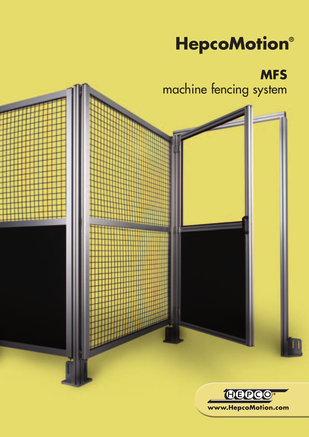# **HepcoMotion®**

**MFS** machine fencing system

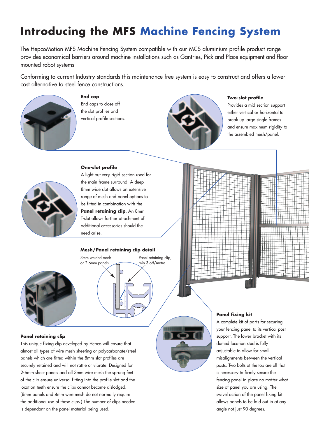### **Introducing the MFS Machine Fencing System**

The HepcoMotion MFS Machine Fencing System compatible with our MCS aluminium profile product range provides economical barriers around machine installations such as Gantries, Pick and Place equipment and floor mounted robot systems

Conforming to current Industry standards this maintenance free system is easy to construct and offers a lower cost alternative to steel fence constructions.



**End cap** End caps to close off the slot profiles and vertical profile sections.



#### **Two-slot profile**

Provides a mid section support either vertical or horizontal to break up large single frames and ensure maximum rigidity to the assembled mesh/panel.

#### **One-slot profile**



A light but very rigid section used for the main frame surround. A deep 8mm wide slot allows an extensive range of mesh and panel options to be fitted in combination with the **Panel retaining clip**. An 8mm T-slot allows further attachment of additional accessories should the need arise.

#### **Mesh/Panel retaining clip detail**

3mm welded mesh or 2-6mm panels



**Panel retaining clip**

#### Panel retaining clip, min 3 off/metre

This unique fixing clip developed by Hepco will ensure that almost all types of wire mesh sheeting or polycarbonate/steel panels which are fitted within the 8mm slot profiles are securely retained and will not rattle or vibrate. Designed for 2-6mm sheet panels and all 3mm wire mesh the sprung feet of the clip ensure universal fitting into the profile slot and the location teeth ensure the clips cannot become dislodged. (8mm panels and 4mm wire mesh do not normally require the additional use of these clips.) The number of clips needed is dependant on the panel material being used.





#### **Panel fixing kit**

A complete kit of parts for securing your fencing panel to its vertical post support. The lower bracket with its domed location stud is fully adjustable to allow for small misalignments between the vertical posts. Two bolts at the top are all that is necessary to firmly secure the fencing panel in place no matter what size of panel you are using. The swivel action of the panel fixing kit allows panels to be laid out in at any angle not just 90 degrees.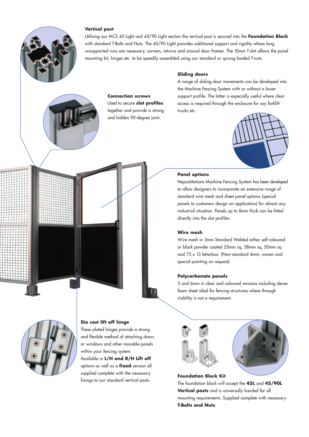

#### **Vertical post**

Utilising our MCS 45 Light and 45/90 Light section the vertical post is secured into the **Foundation Block** with standard T-Bolts and Nuts. The 45/90 Light provides additional support and rigidity where long unsupported runs are necessary, corners, returns and around door frames. The 10mm T-slot allows the panel mounting kit, hinges etc. to be speedily assembled using our standard or sprung loaded T-nuts.



#### **Connection screws** Used to secure **slot profiles**

together and provide a strong and hidden 90-degree joint.

#### **Sliding doors**

A range of sliding door movements can be developed into the Machine Fencing System with or without a lower support profile. The latter is especially useful where clear access is required through the enclosure for say forklift trucks etc.



#### **Panel options**

HepcoMotions Machine Fencing System has been developed to allow designers to incorporate an extensive range of standard wire mesh and sheet panel options (special panels to customers design on application) for almost any industrial situation. Panels up to 8mm thick can be fitted directly into the slot profiles.

#### **Wire mesh**

Wire mesh in 3mm Standard Welded either self-coloured or black powder coated 25mm sq, 38mm sq, 50mm sq and 75 x 13 letterbox. (Non-standard 4mm, woven and special painting on request).

#### **Polycarbonate panels**

5 and 6mm in clear and coloured versions including dense foam sheet ideal for fencing structures where through visibility is not a requirement.





#### **Foundation Block Kit**

The foundation block will accept the **45L** and **45/90L Vertical posts** and is universally handed for all mounting requirements. Supplied complete with necessary **T-Bolts and Nuts**.



#### **Die cast lift off hinge**

These plated hinges provide a strong and flexible method of attaching doors or windows and other movable panels within your fencing system.

Available in **L/H and R/H Lift off** options as well as a **fixed** version all supplied complete with the necessary fixings to our standard vertical posts.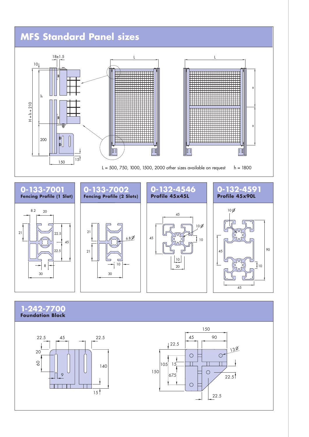## **MFS Standard Panel sizes** L London and the contract of the contract of the contract of the contract of the contract of the contract of the 18±1.5 10

 $\sqrt{2}$ 

 $H = h + 210$ 

 $H = h + 210$ 

200

h

150

 $\begin{bmatrix} \mathbf{b} \\ \mathbf{c} \end{bmatrix}$ 



 $\boxed{\mathbb{I}}$ 

=

=

 $\boxed{\mathbb{I}}$ 



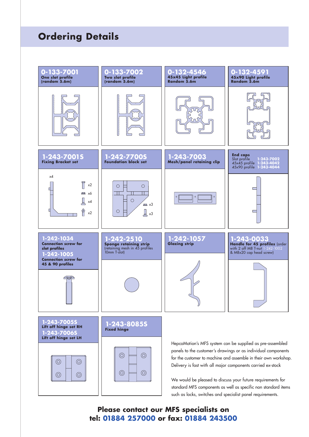### **Ordering Details**



### **Please contact our MFS specialists on tel: 01884 257000 or fax: 01884 243500**